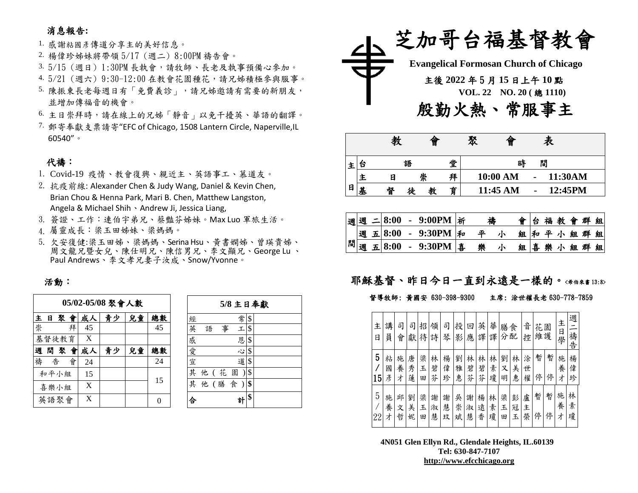### 消息報告**:**

1. 感謝粘國彥傳道分享主的美好信息。

- 2. 楊偉珍姊妹將帶領 5/17 (週二) 8:00PM 禱告會。
- 3. 5/15 (週日) 1:30PM 長執會,請牧師、長老及執事預備心參加。
- 4. 5/21 (週六) 9:30-12:00 在教會花園種花,請兄姊積極參與服事。
- 5. 陳振東長老每週日有「免費義診」,請兄姊邀請有需要的新朋友, 並增加傳福音的機會。
- 6. 主日崇拜時,請在線上的兄姊「靜音」以免干擾英、華語的翻譯。
- 7. 郵寄奉獻支票請寄"EFC of Chicago, 1508 Lantern Circle, Naperville,IL 60540"。

### 代禱:

- 1. Covid-19 疫情、教會復興、親近主、英語事工、慕道友。
- 2. 抗疫前線: Alexander Chen & Judy Wang, Daniel & Kevin Chen, Brian Chou & Henna Park, Mari B. Chen, Matthew Langston, Angela & Michael Shih、Andrew Ji, Jessica Liang,
- 3. 簽證、工作:連伯宇弟兄、蔡豔芬姊妹。Max Luo 軍旅生活。
- 4. 屬靈成長:梁玉田姊妹、梁媽媽。
- 5. 欠安復健:梁玉田姊、梁媽媽、Serina Hsu、黃書嫻姊、曾瑛貴姊、 周文龍兄暨女兒、陳仕明兄、陳信男兄、李文顯兄、George Lu 、 Paul Andrews、李文孝兄妻子汝成、Snow/Yvonne。

#### 活動:

| 05/02-05/08 聚會人數 |     |       |    |    |          |    |    |  |  |  |  |  |  |
|------------------|-----|-------|----|----|----------|----|----|--|--|--|--|--|--|
| 主                | 日   |       | 聚會 | 成人 | 青少<br>兒童 |    |    |  |  |  |  |  |  |
| 崇                |     |       | 拜  | 45 |          |    | 45 |  |  |  |  |  |  |
|                  |     | 基督徒教育 |    | X  |          |    |    |  |  |  |  |  |  |
| 週                | 間 聚 |       | 會  | 成人 | 青少       | 兒童 | 總數 |  |  |  |  |  |  |
| 禱                | 告   |       | 會  | 24 |          |    | 24 |  |  |  |  |  |  |
|                  |     | 和平小組  |    | 15 |          |    | 15 |  |  |  |  |  |  |
| 喜樂小組             |     |       |    | X  |          |    |    |  |  |  |  |  |  |
|                  |     | 英語聚會  |    | X  |          |    | O  |  |  |  |  |  |  |

|             | 5/8 主日奉獻 |    |  |  |  |  |  |  |  |  |  |  |  |  |  |
|-------------|----------|----|--|--|--|--|--|--|--|--|--|--|--|--|--|
| 經           | 常        | \$ |  |  |  |  |  |  |  |  |  |  |  |  |  |
| 英<br>語<br>事 | エ        | \$ |  |  |  |  |  |  |  |  |  |  |  |  |  |
| 感           | 恩        | \$ |  |  |  |  |  |  |  |  |  |  |  |  |  |
|             | Š,       | \$ |  |  |  |  |  |  |  |  |  |  |  |  |  |
| 愛宣          | 道        | \$ |  |  |  |  |  |  |  |  |  |  |  |  |  |
| 其<br>他 (花園  |          | \$ |  |  |  |  |  |  |  |  |  |  |  |  |  |
| 他 (膳食)<br>其 |          | \$ |  |  |  |  |  |  |  |  |  |  |  |  |  |
|             | 헑        | \$ |  |  |  |  |  |  |  |  |  |  |  |  |  |



|   |   | 教 | 旨      |   | 聚      | 僧        |  | 表       |  |  |  |  |
|---|---|---|--------|---|--------|----------|--|---------|--|--|--|--|
| 王 | ä |   | 語      | 堂 | 閒<br>時 |          |  |         |  |  |  |  |
|   |   | E | 崇      | 拜 |        | 10:00 AM |  | 11:30AM |  |  |  |  |
| 日 | 基 | 督 | 教<br>徒 | 育 |        | 11:45 AM |  | 12:45PM |  |  |  |  |

| 週 |   | $= 8:00$          | 9:00PM    | <b> 祈</b> | 禱 |  |    | 台 |  | 福教會群組  |  |
|---|---|-------------------|-----------|-----------|---|--|----|---|--|--------|--|
|   |   | 週五8:00            | $-9:30PM$ | 「和        | 亚 |  | 組  |   |  | 和平小组群组 |  |
| 閒 | 週 | $\mathbf{E}$ 8:00 | $-9:30PM$ | 事         | 樂 |  | 組喜 |   |  | 樂小組群組  |  |

## 耶穌基督、昨日今日一直到永遠是一樣的。<希伯來書13:8>

#### 督導牧師: 黃國安 630-398-9300 主席: 涂世權長老 630-778-7859

| 主<br>日  | 講<br>員      | 司<br>會      | 司<br>獻      | 招<br>待      | 領<br>詩      | 司<br>琴      | 投<br>影      | 回<br>應      | 英<br>譯      | 華<br>譯      | 膳<br>分      | 食<br>配      | 音<br>控      | 花<br>維護 | 園      | 主<br>日<br>學 | 週<br>禱<br>告 |
|---------|-------------|-------------|-------------|-------------|-------------|-------------|-------------|-------------|-------------|-------------|-------------|-------------|-------------|---------|--------|-------------|-------------|
| 5<br>15 | 粘<br>國<br>彥 | 施<br>養<br>才 | 唐<br>秀<br>蓮 | 梁<br>玉<br>田 | 林<br>碧<br>芬 | 楊<br>偉<br>珍 | 劉<br>雅<br>惠 | 林<br>碧<br>芬 | 林<br>碧<br>芬 | 林<br>素<br>瓊 | 劉<br>又<br>明 | 林<br>美<br>惠 | 涂<br>世<br>權 | 暫<br>停  | 暫<br>停 | 施<br>養<br>才 | 楊<br>偉<br>珍 |
| 5<br>22 | 施<br>養<br>才 | 邱<br>文<br>哲 | 劉<br>美<br>妮 | 梁<br>玉<br>田 | 謝<br>淑<br>慧 | 謝<br>慧<br>玟 | 吳<br>崇<br>斌 | 謝<br>淑<br>慧 | 楊<br>遠<br>香 | 林<br>素<br>瓊 | 梁<br>玉<br>田 | 彭<br>冠<br>Ł | 盧<br>主<br>榮 | 暫<br>停  | 暫<br>停 | 施<br>養<br>才 | 林<br>素<br>瓊 |

**4N051 Glen Ellyn Rd., Glendale Heights, IL.60139 Tel: 630-847-7107 [http://www.efcchicago.org](http://www.efcchicago.org/)**